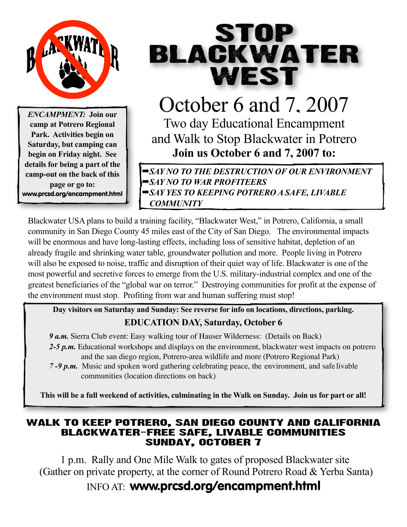

*ENCAMPMENT:* **Join our camp at Potrero Regional Park. Activities begin on Saturday, but camping can begin on Friday night. See details for being a part of the camp-out on the back of this page or go to:** www.prcsd.org/encampment.html

# STOP BLACKWATER WEST

October 6 and 7, 2007 Two day Educational Encampment and Walk to Stop Blackwater in Potrero **Join us October 6 and 7, 2007 to:**

➡*SAY NO TO THE DESTRUCTION OF OUR ENVIRONMENT* ➡*SAY NO TO WAR PROFITEERS* ➡*SAY YES TO KEEPING POTRERO A SAFE, LIVABLE COMMUNITY*

Blackwater USA plans to build a training facility, "Blackwater West," in Potrero, California, a small community in San Diego County 45 miles east of the City of San Diego. The environmental impacts will be enormous and have long-lasting effects, including loss of sensitive habitat, depletion of an already fragile and shrinking water table, groundwater pollution and more. People living in Potrero will also be exposed to noise, traffic and disruption of their quiet way of life. Blackwater is one of the most powerful and secretive forces to emerge from the U.S. military-industrial complex and one of the greatest beneficiaries of the "global war on terror." Destroying communities for profit at the expense of the environment must stop. Profiting from war and human suffering must stop!

**Day visitors on Saturday and Sunday: See reverse for info on locations, directions, parking. EDUCATION DAY, Saturday, October 6**

*9 a.m.* Sierra Club event: Easy walking tour of Hauser Wilderness: (Details on Back) *2-5 p.m.* Educational workshops and displays on the environment, blackwater west impacts on potrero and the san diego region, Potrero-area wildlife and more (Potrero Regional Park)

*7 -9 p.m.* Music and spoken word gathering celebrating peace, the environment, and safe livable communities (location directions on back)

This will be a full weekend of activities, culminating in the Walk on Sunday. Join us for part or all!

## WALK TO KEEP POTRERO, SAN DIEGO COUNTY AND CALIFORNIA BlACKWATER-FREE SAFE, LIVABLE COMMUNITIES Sunday, October 7

1 p.m. Rally and One Mile Walk to gates of proposed Blackwater site (Gather on private property, at the corner of Round Potrero Road & Yerba Santa)

INFO AT: www.prcsd.org/encampment.html